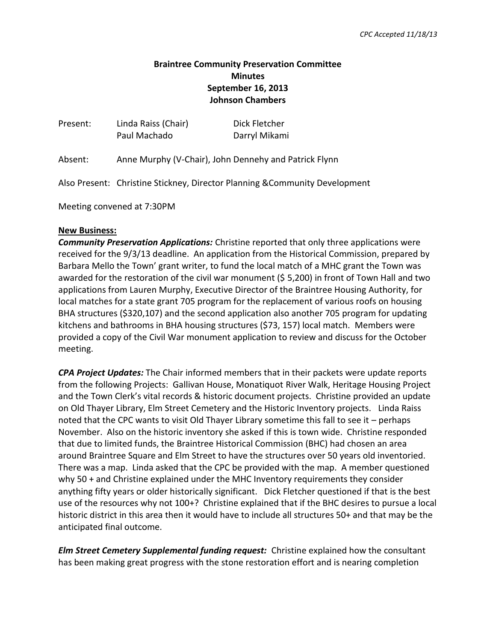# **Braintree Community Preservation Committee Minutes September 16, 2013 Johnson Chambers**

| Present: | Linda Raiss (Chair)                                                         | Dick Fletcher |
|----------|-----------------------------------------------------------------------------|---------------|
|          | Paul Machado                                                                | Darryl Mikami |
| Absent:  | Anne Murphy (V-Chair), John Dennehy and Patrick Flynn                       |               |
|          |                                                                             |               |
|          | Also Present: Christine Stickney, Director Planning & Community Development |               |

Meeting convened at 7:30PM

## **New Business:**

*Community Preservation Applications:* Christine reported that only three applications were received for the 9/3/13 deadline. An application from the Historical Commission, prepared by Barbara Mello the Town' grant writer, to fund the local match of a MHC grant the Town was awarded for the restoration of the civil war monument (\$ 5,200) in front of Town Hall and two applications from Lauren Murphy, Executive Director of the Braintree Housing Authority, for local matches for a state grant 705 program for the replacement of various roofs on housing BHA structures (\$320,107) and the second application also another 705 program for updating kitchens and bathrooms in BHA housing structures (\$73, 157) local match. Members were provided a copy of the Civil War monument application to review and discuss for the October meeting.

*CPA Project Updates:* The Chair informed members that in their packets were update reports from the following Projects: Gallivan House, Monatiquot River Walk, Heritage Housing Project and the Town Clerk's vital records & historic document projects. Christine provided an update on Old Thayer Library, Elm Street Cemetery and the Historic Inventory projects. Linda Raiss noted that the CPC wants to visit Old Thayer Library sometime this fall to see it – perhaps November. Also on the historic inventory she asked if this is town wide. Christine responded that due to limited funds, the Braintree Historical Commission (BHC) had chosen an area around Braintree Square and Elm Street to have the structures over 50 years old inventoried. There was a map. Linda asked that the CPC be provided with the map. A member questioned why 50 + and Christine explained under the MHC Inventory requirements they consider anything fifty years or older historically significant. Dick Fletcher questioned if that is the best use of the resources why not 100+? Christine explained that if the BHC desires to pursue a local historic district in this area then it would have to include all structures 50+ and that may be the anticipated final outcome.

*Elm Street Cemetery Supplemental funding request:* Christine explained how the consultant has been making great progress with the stone restoration effort and is nearing completion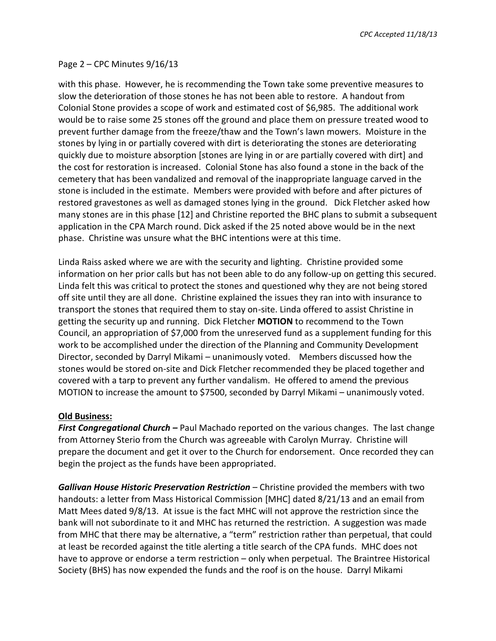*CPC Accepted 11/18/13*

## Page 2 – CPC Minutes 9/16/13

with this phase. However, he is recommending the Town take some preventive measures to slow the deterioration of those stones he has not been able to restore. A handout from Colonial Stone provides a scope of work and estimated cost of \$6,985. The additional work would be to raise some 25 stones off the ground and place them on pressure treated wood to prevent further damage from the freeze/thaw and the Town's lawn mowers. Moisture in the stones by lying in or partially covered with dirt is deteriorating the stones are deteriorating quickly due to moisture absorption [stones are lying in or are partially covered with dirt] and the cost for restoration is increased. Colonial Stone has also found a stone in the back of the cemetery that has been vandalized and removal of the inappropriate language carved in the stone is included in the estimate. Members were provided with before and after pictures of restored gravestones as well as damaged stones lying in the ground. Dick Fletcher asked how many stones are in this phase [12] and Christine reported the BHC plans to submit a subsequent application in the CPA March round. Dick asked if the 25 noted above would be in the next phase. Christine was unsure what the BHC intentions were at this time.

Linda Raiss asked where we are with the security and lighting. Christine provided some information on her prior calls but has not been able to do any follow-up on getting this secured. Linda felt this was critical to protect the stones and questioned why they are not being stored off site until they are all done. Christine explained the issues they ran into with insurance to transport the stones that required them to stay on-site. Linda offered to assist Christine in getting the security up and running. Dick Fletcher **MOTION** to recommend to the Town Council, an appropriation of \$7,000 from the unreserved fund as a supplement funding for this work to be accomplished under the direction of the Planning and Community Development Director, seconded by Darryl Mikami – unanimously voted. Members discussed how the stones would be stored on-site and Dick Fletcher recommended they be placed together and covered with a tarp to prevent any further vandalism. He offered to amend the previous MOTION to increase the amount to \$7500, seconded by Darryl Mikami – unanimously voted.

#### **Old Business:**

*First Congregational Church –* Paul Machado reported on the various changes. The last change from Attorney Sterio from the Church was agreeable with Carolyn Murray. Christine will prepare the document and get it over to the Church for endorsement. Once recorded they can begin the project as the funds have been appropriated.

*Gallivan House Historic Preservation Restriction* – Christine provided the members with two handouts: a letter from Mass Historical Commission [MHC] dated 8/21/13 and an email from Matt Mees dated 9/8/13. At issue is the fact MHC will not approve the restriction since the bank will not subordinate to it and MHC has returned the restriction. A suggestion was made from MHC that there may be alternative, a "term" restriction rather than perpetual, that could at least be recorded against the title alerting a title search of the CPA funds. MHC does not have to approve or endorse a term restriction – only when perpetual. The Braintree Historical Society (BHS) has now expended the funds and the roof is on the house. Darryl Mikami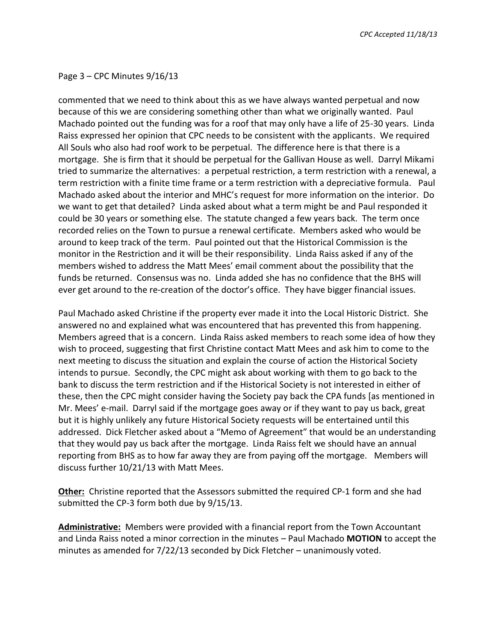*CPC Accepted 11/18/13*

#### Page 3 – CPC Minutes 9/16/13

commented that we need to think about this as we have always wanted perpetual and now because of this we are considering something other than what we originally wanted. Paul Machado pointed out the funding was for a roof that may only have a life of 25-30 years. Linda Raiss expressed her opinion that CPC needs to be consistent with the applicants. We required All Souls who also had roof work to be perpetual. The difference here is that there is a mortgage. She is firm that it should be perpetual for the Gallivan House as well. Darryl Mikami tried to summarize the alternatives: a perpetual restriction, a term restriction with a renewal, a term restriction with a finite time frame or a term restriction with a depreciative formula. Paul Machado asked about the interior and MHC's request for more information on the interior. Do we want to get that detailed? Linda asked about what a term might be and Paul responded it could be 30 years or something else. The statute changed a few years back. The term once recorded relies on the Town to pursue a renewal certificate. Members asked who would be around to keep track of the term. Paul pointed out that the Historical Commission is the monitor in the Restriction and it will be their responsibility. Linda Raiss asked if any of the members wished to address the Matt Mees' email comment about the possibility that the funds be returned. Consensus was no. Linda added she has no confidence that the BHS will ever get around to the re-creation of the doctor's office. They have bigger financial issues.

Paul Machado asked Christine if the property ever made it into the Local Historic District. She answered no and explained what was encountered that has prevented this from happening. Members agreed that is a concern. Linda Raiss asked members to reach some idea of how they wish to proceed, suggesting that first Christine contact Matt Mees and ask him to come to the next meeting to discuss the situation and explain the course of action the Historical Society intends to pursue. Secondly, the CPC might ask about working with them to go back to the bank to discuss the term restriction and if the Historical Society is not interested in either of these, then the CPC might consider having the Society pay back the CPA funds [as mentioned in Mr. Mees' e-mail. Darryl said if the mortgage goes away or if they want to pay us back, great but it is highly unlikely any future Historical Society requests will be entertained until this addressed. Dick Fletcher asked about a "Memo of Agreement" that would be an understanding that they would pay us back after the mortgage. Linda Raiss felt we should have an annual reporting from BHS as to how far away they are from paying off the mortgage. Members will discuss further 10/21/13 with Matt Mees.

**Other:** Christine reported that the Assessors submitted the required CP-1 form and she had submitted the CP-3 form both due by 9/15/13.

**Administrative:** Members were provided with a financial report from the Town Accountant and Linda Raiss noted a minor correction in the minutes – Paul Machado **MOTION** to accept the minutes as amended for 7/22/13 seconded by Dick Fletcher – unanimously voted.